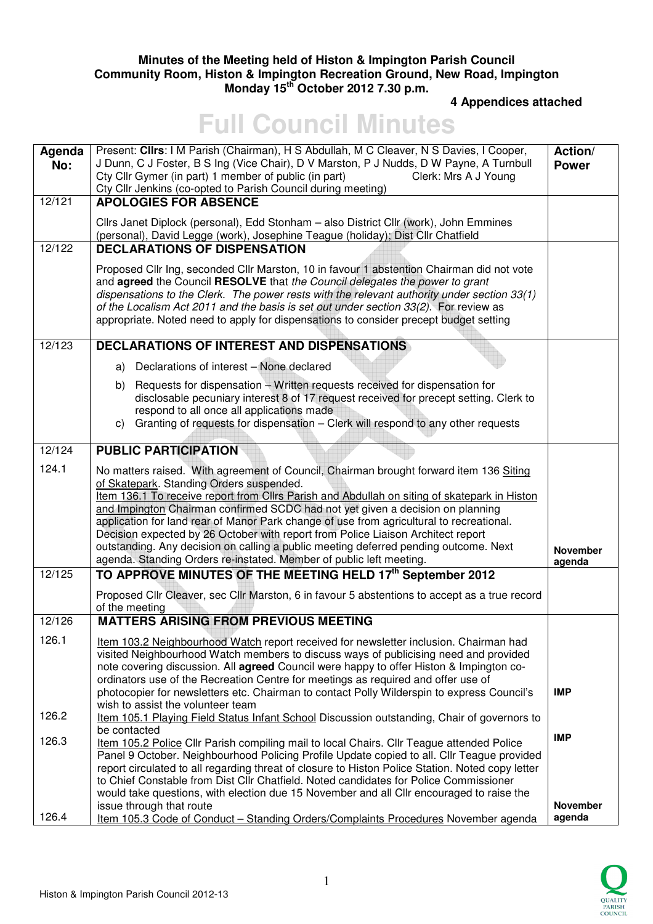## **Minutes of the Meeting held of Histon & Impington Parish Council Community Room, Histon & Impington Recreation Ground, New Road, Impington Monday 15th October 2012 7.30 p.m.**

 **4 Appendices attached** 

## **Full Council Minutes**

| Agenda<br>No: | Present: Clirs: I M Parish (Chairman), H S Abdullah, M C Cleaver, N S Davies, I Cooper,<br>J Dunn, C J Foster, B S Ing (Vice Chair), D V Marston, P J Nudds, D W Payne, A Turnbull<br>Cty Cllr Gymer (in part) 1 member of public (in part)<br>Clerk: Mrs A J Young<br>Cty Cllr Jenkins (co-opted to Parish Council during meeting)                                                                                                                                                                                                                                                                                                                                 | Action/<br><b>Power</b>   |
|---------------|---------------------------------------------------------------------------------------------------------------------------------------------------------------------------------------------------------------------------------------------------------------------------------------------------------------------------------------------------------------------------------------------------------------------------------------------------------------------------------------------------------------------------------------------------------------------------------------------------------------------------------------------------------------------|---------------------------|
| 12/121        | <b>APOLOGIES FOR ABSENCE</b>                                                                                                                                                                                                                                                                                                                                                                                                                                                                                                                                                                                                                                        |                           |
|               | Cllrs Janet Diplock (personal), Edd Stonham - also District Cllr (work), John Emmines<br>(personal), David Legge (work), Josephine Teague (holiday); Dist Cllr Chatfield                                                                                                                                                                                                                                                                                                                                                                                                                                                                                            |                           |
| 12/122        | <b>DECLARATIONS OF DISPENSATION</b>                                                                                                                                                                                                                                                                                                                                                                                                                                                                                                                                                                                                                                 |                           |
|               | Proposed Cllr Ing, seconded Cllr Marston, 10 in favour 1 abstention Chairman did not vote<br>and agreed the Council RESOLVE that the Council delegates the power to grant<br>dispensations to the Clerk. The power rests with the relevant authority under section 33(1)<br>of the Localism Act 2011 and the basis is set out under section 33(2). For review as<br>appropriate. Noted need to apply for dispensations to consider precept budget setting                                                                                                                                                                                                           |                           |
| 12/123        | <b>DECLARATIONS OF INTEREST AND DISPENSATIONS</b>                                                                                                                                                                                                                                                                                                                                                                                                                                                                                                                                                                                                                   |                           |
|               | a) Declarations of interest - None declared                                                                                                                                                                                                                                                                                                                                                                                                                                                                                                                                                                                                                         |                           |
|               | b) Requests for dispensation - Written requests received for dispensation for<br>disclosable pecuniary interest 8 of 17 request received for precept setting. Clerk to<br>respond to all once all applications made<br>c) Granting of requests for dispensation - Clerk will respond to any other requests                                                                                                                                                                                                                                                                                                                                                          |                           |
| 12/124        | <b>PUBLIC PARTICIPATION</b>                                                                                                                                                                                                                                                                                                                                                                                                                                                                                                                                                                                                                                         |                           |
| 124.1         | No matters raised. With agreement of Council, Chairman brought forward item 136 Siting<br>of Skatepark. Standing Orders suspended.<br>Item 136.1 To receive report from Cllrs Parish and Abdullah on siting of skatepark in Histon<br>and Impington Chairman confirmed SCDC had not yet given a decision on planning<br>application for land rear of Manor Park change of use from agricultural to recreational.<br>Decision expected by 26 October with report from Police Liaison Architect report<br>outstanding. Any decision on calling a public meeting deferred pending outcome. Next<br>agenda. Standing Orders re-instated. Member of public left meeting. | <b>November</b><br>agenda |
| 12/125        | TO APPROVE MINUTES OF THE MEETING HELD 17th September 2012                                                                                                                                                                                                                                                                                                                                                                                                                                                                                                                                                                                                          |                           |
|               | Proposed Cllr Cleaver, sec Cllr Marston, 6 in favour 5 abstentions to accept as a true record<br>of the meeting                                                                                                                                                                                                                                                                                                                                                                                                                                                                                                                                                     |                           |
| 12/126        | <b>MATTERS ARISING FROM PREVIOUS MEETING</b>                                                                                                                                                                                                                                                                                                                                                                                                                                                                                                                                                                                                                        |                           |
| 126.1         | Item 103.2 Neighbourhood Watch report received for newsletter inclusion. Chairman had<br>visited Neighbourhood Watch members to discuss ways of publicising need and provided<br>note covering discussion. All agreed Council were happy to offer Histon & Impington co-<br>ordinators use of the Recreation Centre for meetings as required and offer use of<br>photocopier for newsletters etc. Chairman to contact Polly Wilderspin to express Council's                                                                                                                                                                                                         | <b>IMP</b>                |
| 126.2         | wish to assist the volunteer team<br>Item 105.1 Playing Field Status Infant School Discussion outstanding, Chair of governors to                                                                                                                                                                                                                                                                                                                                                                                                                                                                                                                                    |                           |
| 126.3         | be contacted<br>Item 105.2 Police Cllr Parish compiling mail to local Chairs. Cllr Teague attended Police<br>Panel 9 October. Neighbourhood Policing Profile Update copied to all. Cllr Teague provided<br>report circulated to all regarding threat of closure to Histon Police Station. Noted copy letter<br>to Chief Constable from Dist Cllr Chatfield. Noted candidates for Police Commissioner<br>would take questions, with election due 15 November and all Cllr encouraged to raise the                                                                                                                                                                    | <b>IMP</b>                |
| 126.4         | issue through that route<br>Item 105.3 Code of Conduct - Standing Orders/Complaints Procedures November agenda                                                                                                                                                                                                                                                                                                                                                                                                                                                                                                                                                      | <b>November</b><br>agenda |

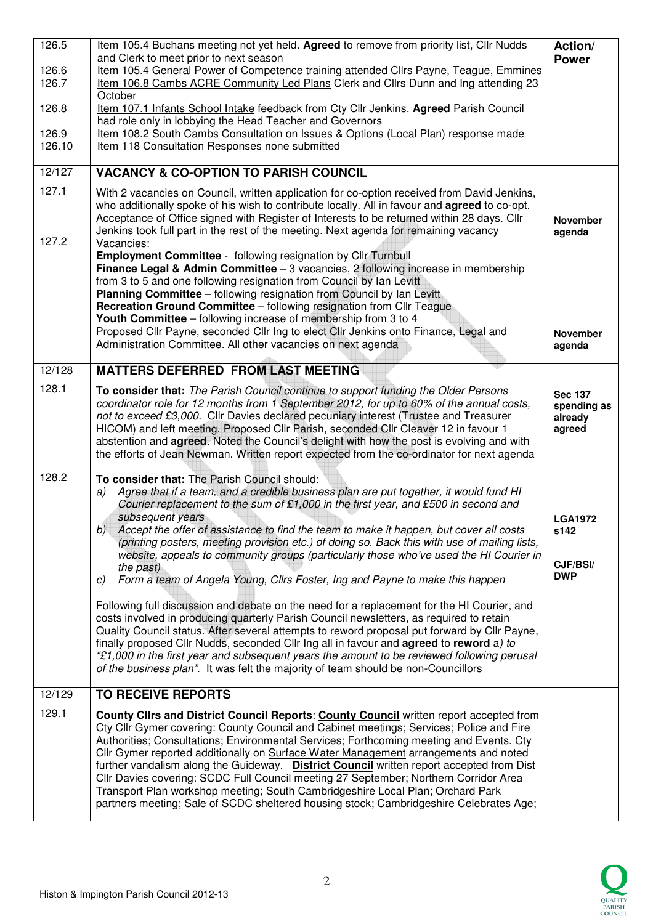| 126.5          | Item 105.4 Buchans meeting not yet held. Agreed to remove from priority list, Cllr Nudds<br>and Clerk to meet prior to next season                                                                                                                                                                                                                                                                                                                                                                                                                                                                                                                                                                                                                                                                                                       | Action/<br><b>Power</b>                            |
|----------------|------------------------------------------------------------------------------------------------------------------------------------------------------------------------------------------------------------------------------------------------------------------------------------------------------------------------------------------------------------------------------------------------------------------------------------------------------------------------------------------------------------------------------------------------------------------------------------------------------------------------------------------------------------------------------------------------------------------------------------------------------------------------------------------------------------------------------------------|----------------------------------------------------|
| 126.6<br>126.7 | Item 105.4 General Power of Competence training attended Cllrs Payne, Teague, Emmines<br>Item 106.8 Cambs ACRE Community Led Plans Clerk and Cllrs Dunn and Ing attending 23<br>October                                                                                                                                                                                                                                                                                                                                                                                                                                                                                                                                                                                                                                                  |                                                    |
| 126.8          | Item 107.1 Infants School Intake feedback from Cty Cllr Jenkins. Agreed Parish Council                                                                                                                                                                                                                                                                                                                                                                                                                                                                                                                                                                                                                                                                                                                                                   |                                                    |
| 126.9          | had role only in lobbying the Head Teacher and Governors<br>Item 108.2 South Cambs Consultation on Issues & Options (Local Plan) response made                                                                                                                                                                                                                                                                                                                                                                                                                                                                                                                                                                                                                                                                                           |                                                    |
| 126.10         | Item 118 Consultation Responses none submitted                                                                                                                                                                                                                                                                                                                                                                                                                                                                                                                                                                                                                                                                                                                                                                                           |                                                    |
| 12/127         | <b>VACANCY &amp; CO-OPTION TO PARISH COUNCIL</b>                                                                                                                                                                                                                                                                                                                                                                                                                                                                                                                                                                                                                                                                                                                                                                                         |                                                    |
| 127.1<br>127.2 | With 2 vacancies on Council, written application for co-option received from David Jenkins,<br>who additionally spoke of his wish to contribute locally. All in favour and agreed to co-opt.<br>Acceptance of Office signed with Register of Interests to be returned within 28 days. Cllr<br>Jenkins took full part in the rest of the meeting. Next agenda for remaining vacancy<br>Vacancies:                                                                                                                                                                                                                                                                                                                                                                                                                                         | <b>November</b><br>agenda                          |
|                | <b>Employment Committee</b> - following resignation by Cllr Turnbull<br>Finance Legal & Admin Committee - 3 vacancies, 2 following increase in membership<br>from 3 to 5 and one following resignation from Council by Ian Levitt<br><b>Planning Committee</b> – following resignation from Council by Ian Levitt<br>Recreation Ground Committee - following resignation from Cllr Teague<br>Youth Committee - following increase of membership from 3 to 4<br>Proposed Cllr Payne, seconded Cllr Ing to elect Cllr Jenkins onto Finance, Legal and<br>Administration Committee. All other vacancies on next agenda                                                                                                                                                                                                                      | <b>November</b><br>agenda                          |
| 12/128         | <b>MATTERS DEFERRED FROM LAST MEETING</b>                                                                                                                                                                                                                                                                                                                                                                                                                                                                                                                                                                                                                                                                                                                                                                                                |                                                    |
| 128.1          | To consider that: The Parish Council continue to support funding the Older Persons<br>coordinator role for 12 months from 1 September 2012, for up to 60% of the annual costs,<br>not to exceed £3,000. Cllr Davies declared pecuniary interest (Trustee and Treasurer<br>HICOM) and left meeting. Proposed Cllr Parish, seconded Cllr Cleaver 12 in favour 1<br>abstention and agreed. Noted the Council's delight with how the post is evolving and with<br>the efforts of Jean Newman. Written report expected from the co-ordinator for next agenda                                                                                                                                                                                                                                                                                  | <b>Sec 137</b><br>spending as<br>already<br>agreed |
| 128.2          | To consider that: The Parish Council should:<br>Agree that if a team, and a credible business plan are put together, it would fund HI<br>a)<br>Courier replacement to the sum of £1,000 in the first year, and £500 in second and<br>subsequent years<br>b) Accept the offer of assistance to find the team to make it happen, but cover all costs<br>(printing posters, meeting provision etc.) of doing so. Back this with use of mailing lists,<br>website, appeals to community groups (particularly those who've used the HI Courier in<br>the past)<br>Form a team of Angela Young, Cllrs Foster, Ing and Payne to make this happen<br>C)<br>Following full discussion and debate on the need for a replacement for the HI Courier, and<br>costs involved in producing quarterly Parish Council newsletters, as required to retain | <b>LGA1972</b><br>s142<br>CJF/BSI/<br><b>DWP</b>   |
|                | Quality Council status. After several attempts to reword proposal put forward by Cllr Payne,<br>finally proposed Cllr Nudds, seconded Cllr Ing all in favour and agreed to reword a) to<br>"£1,000 in the first year and subsequent years the amount to be reviewed following perusal<br>of the business plan". It was felt the majority of team should be non-Councillors                                                                                                                                                                                                                                                                                                                                                                                                                                                               |                                                    |
| 12/129         | <b>TO RECEIVE REPORTS</b>                                                                                                                                                                                                                                                                                                                                                                                                                                                                                                                                                                                                                                                                                                                                                                                                                |                                                    |
| 129.1          | County Clirs and District Council Reports: County Council written report accepted from<br>Cty Cllr Gymer covering: County Council and Cabinet meetings; Services; Police and Fire<br>Authorities; Consultations; Environmental Services; Forthcoming meeting and Events. Cty<br>Cllr Gymer reported additionally on Surface Water Management arrangements and noted<br>further vandalism along the Guideway. District Council written report accepted from Dist<br>Cllr Davies covering: SCDC Full Council meeting 27 September; Northern Corridor Area<br>Transport Plan workshop meeting; South Cambridgeshire Local Plan; Orchard Park<br>partners meeting; Sale of SCDC sheltered housing stock; Cambridgeshire Celebrates Age;                                                                                                      |                                                    |

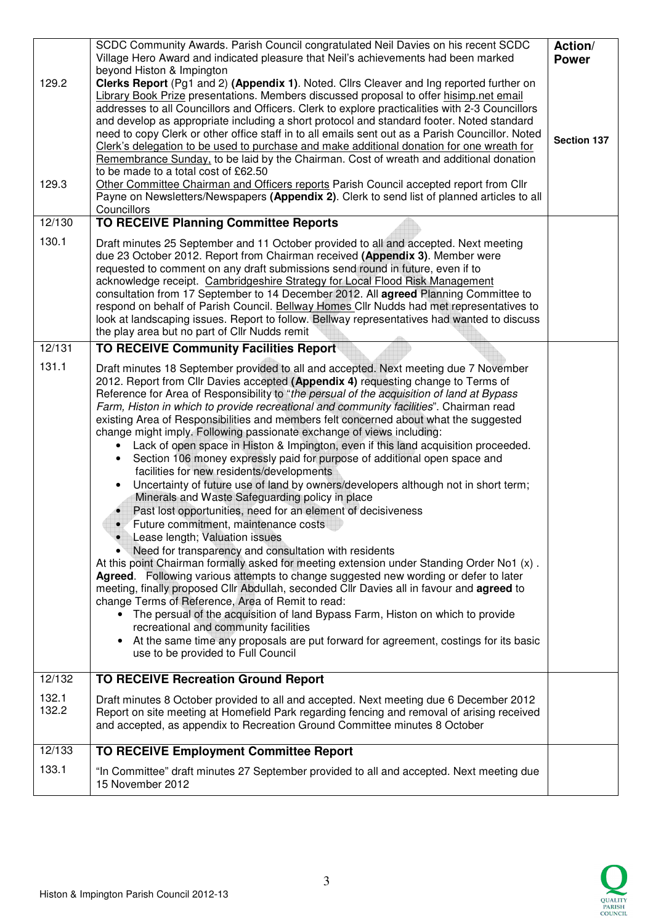|                | SCDC Community Awards. Parish Council congratulated Neil Davies on his recent SCDC<br>Village Hero Award and indicated pleasure that Neil's achievements had been marked<br>beyond Histon & Impington                                                                                                                                                                                                                                                                                                                                                                                                                                                                                                                                                                                                                                                                                                                                                                                                                                                                                                                                                                                                                                                                                                                                                                                                                                                                                                                                                                                                                                                                                            | Action/<br><b>Power</b> |
|----------------|--------------------------------------------------------------------------------------------------------------------------------------------------------------------------------------------------------------------------------------------------------------------------------------------------------------------------------------------------------------------------------------------------------------------------------------------------------------------------------------------------------------------------------------------------------------------------------------------------------------------------------------------------------------------------------------------------------------------------------------------------------------------------------------------------------------------------------------------------------------------------------------------------------------------------------------------------------------------------------------------------------------------------------------------------------------------------------------------------------------------------------------------------------------------------------------------------------------------------------------------------------------------------------------------------------------------------------------------------------------------------------------------------------------------------------------------------------------------------------------------------------------------------------------------------------------------------------------------------------------------------------------------------------------------------------------------------|-------------------------|
| 129.2<br>129.3 | Clerks Report (Pg1 and 2) (Appendix 1). Noted. Cllrs Cleaver and Ing reported further on<br>Library Book Prize presentations. Members discussed proposal to offer hisimp.net email<br>addresses to all Councillors and Officers. Clerk to explore practicalities with 2-3 Councillors<br>and develop as appropriate including a short protocol and standard footer. Noted standard<br>need to copy Clerk or other office staff in to all emails sent out as a Parish Councillor. Noted<br>Clerk's delegation to be used to purchase and make additional donation for one wreath for<br>Remembrance Sunday, to be laid by the Chairman. Cost of wreath and additional donation<br>to be made to a total cost of £62.50<br>Other Committee Chairman and Officers reports Parish Council accepted report from Cllr<br>Payne on Newsletters/Newspapers (Appendix 2). Clerk to send list of planned articles to all<br>Councillors                                                                                                                                                                                                                                                                                                                                                                                                                                                                                                                                                                                                                                                                                                                                                                    | <b>Section 137</b>      |
| 12/130         | <b>TO RECEIVE Planning Committee Reports</b>                                                                                                                                                                                                                                                                                                                                                                                                                                                                                                                                                                                                                                                                                                                                                                                                                                                                                                                                                                                                                                                                                                                                                                                                                                                                                                                                                                                                                                                                                                                                                                                                                                                     |                         |
| 130.1          | Draft minutes 25 September and 11 October provided to all and accepted. Next meeting<br>due 23 October 2012. Report from Chairman received (Appendix 3). Member were<br>requested to comment on any draft submissions send round in future, even if to<br>acknowledge receipt. Cambridgeshire Strategy for Local Flood Risk Management<br>consultation from 17 September to 14 December 2012. All agreed Planning Committee to<br>respond on behalf of Parish Council. Bellway Homes Cllr Nudds had met representatives to<br>look at landscaping issues. Report to follow. Bellway representatives had wanted to discuss<br>the play area but no part of Cllr Nudds remit                                                                                                                                                                                                                                                                                                                                                                                                                                                                                                                                                                                                                                                                                                                                                                                                                                                                                                                                                                                                                       |                         |
| 12/131         | <b>TO RECEIVE Community Facilities Report</b>                                                                                                                                                                                                                                                                                                                                                                                                                                                                                                                                                                                                                                                                                                                                                                                                                                                                                                                                                                                                                                                                                                                                                                                                                                                                                                                                                                                                                                                                                                                                                                                                                                                    |                         |
| 131.1          | Draft minutes 18 September provided to all and accepted. Next meeting due 7 November<br>2012. Report from Cllr Davies accepted (Appendix 4) requesting change to Terms of<br>Reference for Area of Responsibility to "the persual of the acquisition of land at Bypass<br>Farm, Histon in which to provide recreational and community facilities". Chairman read<br>existing Area of Responsibilities and members felt concerned about what the suggested<br>change might imply. Following passionate exchange of views including:<br>Lack of open space in Histon & Impington, even if this land acquisition proceeded.<br>Section 106 money expressly paid for purpose of additional open space and<br>facilities for new residents/developments<br>Uncertainty of future use of land by owners/developers although not in short term;<br>Minerals and Waste Safeguarding policy in place<br>Past lost opportunities, need for an element of decisiveness<br>Future commitment, maintenance costs<br>Lease length; Valuation issues<br>Need for transparency and consultation with residents<br>At this point Chairman formally asked for meeting extension under Standing Order No1 (x).<br>Agreed. Following various attempts to change suggested new wording or defer to later<br>meeting, finally proposed Cllr Abdullah, seconded Cllr Davies all in favour and agreed to<br>change Terms of Reference, Area of Remit to read:<br>• The persual of the acquisition of land Bypass Farm, Histon on which to provide<br>recreational and community facilities<br>At the same time any proposals are put forward for agreement, costings for its basic<br>use to be provided to Full Council |                         |
| 12/132         | <b>TO RECEIVE Recreation Ground Report</b>                                                                                                                                                                                                                                                                                                                                                                                                                                                                                                                                                                                                                                                                                                                                                                                                                                                                                                                                                                                                                                                                                                                                                                                                                                                                                                                                                                                                                                                                                                                                                                                                                                                       |                         |
| 132.1<br>132.2 | Draft minutes 8 October provided to all and accepted. Next meeting due 6 December 2012<br>Report on site meeting at Homefield Park regarding fencing and removal of arising received<br>and accepted, as appendix to Recreation Ground Committee minutes 8 October                                                                                                                                                                                                                                                                                                                                                                                                                                                                                                                                                                                                                                                                                                                                                                                                                                                                                                                                                                                                                                                                                                                                                                                                                                                                                                                                                                                                                               |                         |
| 12/133         | <b>TO RECEIVE Employment Committee Report</b>                                                                                                                                                                                                                                                                                                                                                                                                                                                                                                                                                                                                                                                                                                                                                                                                                                                                                                                                                                                                                                                                                                                                                                                                                                                                                                                                                                                                                                                                                                                                                                                                                                                    |                         |
| 133.1          | "In Committee" draft minutes 27 September provided to all and accepted. Next meeting due<br>15 November 2012                                                                                                                                                                                                                                                                                                                                                                                                                                                                                                                                                                                                                                                                                                                                                                                                                                                                                                                                                                                                                                                                                                                                                                                                                                                                                                                                                                                                                                                                                                                                                                                     |                         |
|                |                                                                                                                                                                                                                                                                                                                                                                                                                                                                                                                                                                                                                                                                                                                                                                                                                                                                                                                                                                                                                                                                                                                                                                                                                                                                                                                                                                                                                                                                                                                                                                                                                                                                                                  |                         |